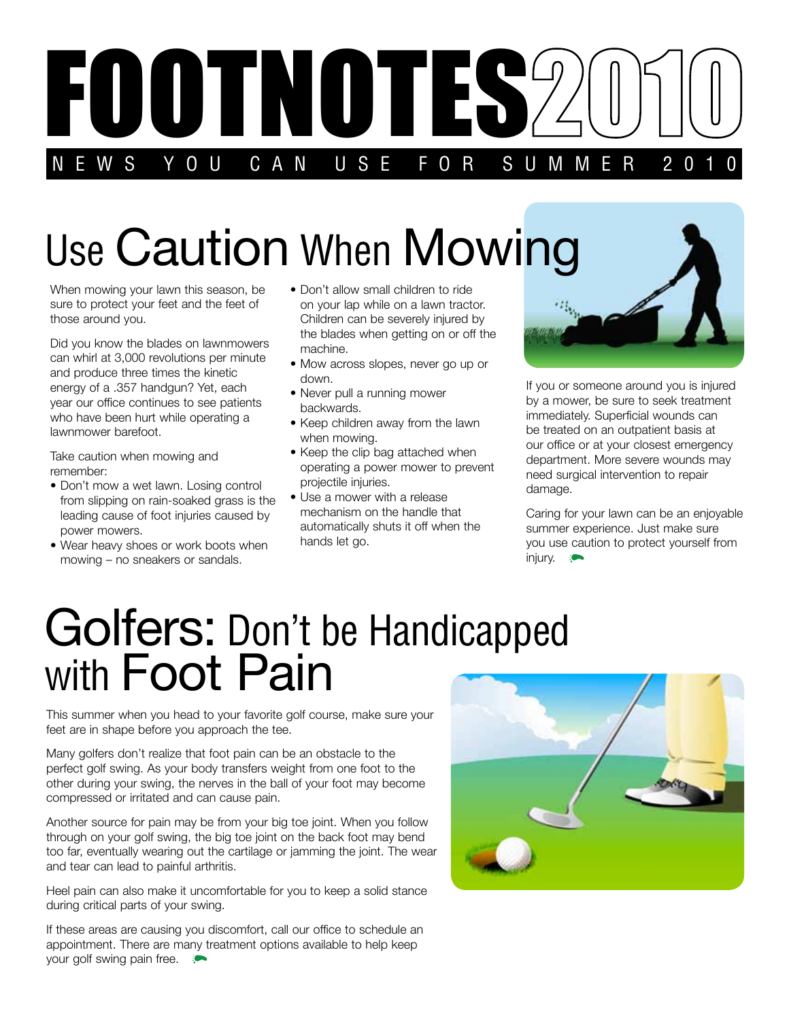

## Use Caution When Mowing

When mowing your lawn this season, be sure to protect your feet and the feet of those around you.

Did you know the blades on lawnmowers can whirl at 3,000 revolutions per minute and produce three times the kinetic energy of a .357 handgun? Yet, each year our office continues to see patients who have been hurt while operating a lawnmower barefoot.

Take caution when mowing and remember:

- Don't mow a wet lawn. Losing control from slipping on rain-soaked grass is the leading cause of foot injuries caused by power mowers.
- Wear heavy shoes or work boots when mowing – no sneakers or sandals.
- Don't allow small children to ride on your lap while on a lawn tractor. Children can be severely injured by the blades when getting on or off the machine.
- Mow across slopes, never go up or down.
- Never pull a running mower backwards.
- Keep children away from the lawn when mowing.
- Keep the clip bag attached when operating a power mower to prevent projectile injuries.
- Use a mower with a release mechanism on the handle that automatically shuts it off when the hands let go.



If you or someone around you is injured by a mower, be sure to seek treatment immediately. Superficial wounds can be treated on an outpatient basis at our office or at your closest emergency department. More severe wounds may need surgical intervention to repair damage.

Caring for your lawn can be an enjoyable summer experience. Just make sure you use caution to protect yourself from injury.

### Golfers: Don't be Handicapped with **Foot Pain**

This summer when you head to your favorite golf course, make sure your feet are in shape before you approach the tee.

Many golfers don't realize that foot pain can be an obstacle to the perfect golf swing. As your body transfers weight from one foot to the other during your swing, the nerves in the ball of your foot may become compressed or irritated and can cause pain.

Another source for pain may be from your big toe joint. When you follow through on your golf swing, the big toe joint on the back foot may bend too far, eventually wearing out the cartilage or jamming the joint. The wear and tear can lead to painful arthritis.

Heel pain can also make it uncomfortable for you to keep a solid stance during critical parts of your swing.

If these areas are causing you discomfort, call our office to schedule an appointment. There are many treatment options available to help keep your golf swing pain free.